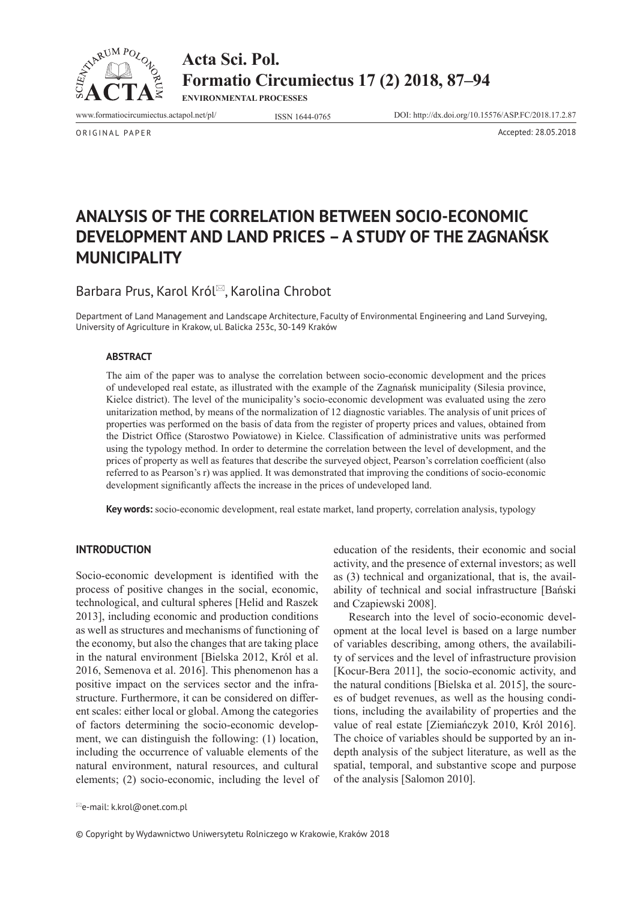

**Acta Sci. Pol. Formatio Circumiectus 17 (2) 2018, 87–94**

**ENVIRONMENTAL PROCESSES**

www.formatiocircumiectus.actapol.net/pl/ ISSN 1644-0765 DOI: http://dx.doi.org/10.15576/ASP.FC/2018.17.2.87

ORIGINAL PAPER Accepted: 28.05.2018

# **ANALYSIS OF THE CORRELATION BETWEEN SOCIO-ECONOMIC DEVELOPMENT AND LAND PRICES – A STUDY OF THE ZAGNAŃSK MUNICIPALITY**

# Barbara Prus, Karol Król<sup>⊠</sup>, Karolina Chrobot

Department of Land Management and Landscape Architecture, Faculty of Environmental Engineering and Land Surveying, University of Agriculture in Krakow, ul. Balicka 253c, 30-149 Kraków

#### **ABSTRACT**

The aim of the paper was to analyse the correlation between socio-economic development and the prices of undeveloped real estate, as illustrated with the example of the Zagnańsk municipality (Silesia province, Kielce district). The level of the municipality's socio-economic development was evaluated using the zero unitarization method, by means of the normalization of 12 diagnostic variables. The analysis of unit prices of properties was performed on the basis of data from the register of property prices and values, obtained from the District Office (Starostwo Powiatowe) in Kielce. Classification of administrative units was performed using the typology method. In order to determine the correlation between the level of development, and the prices of property as well as features that describe the surveyed object, Pearson's correlation coefficient (also referred to as Pearson's r) was applied. It was demonstrated that improving the conditions of socio-economic development significantly affects the increase in the prices of undeveloped land.

**Key words:** socio-economic development, real estate market, land property, correlation analysis, typology

#### **INTRODUCTION**

Socio-economic development is identified with the process of positive changes in the social, economic, technological, and cultural spheres [Helid and Raszek 2013], including economic and production conditions as well as structures and mechanisms of functioning of the economy, but also the changes that are taking place in the natural environment [Bielska 2012, Król et al. 2016, Semenova et al. 2016]. This phenomenon has a positive impact on the services sector and the infrastructure. Furthermore, it can be considered on different scales: either local or global. Among the categories of factors determining the socio-economic development, we can distinguish the following: (1) location, including the occurrence of valuable elements of the natural environment, natural resources, and cultural elements; (2) socio-economic, including the level of education of the residents, their economic and social activity, and the presence of external investors; as well as (3) technical and organizational, that is, the availability of technical and social infrastructure [Bański and Czapiewski 2008].

Research into the level of socio-economic development at the local level is based on a large number of variables describing, among others, the availability of services and the level of infrastructure provision [Kocur-Bera 2011], the socio-economic activity, and the natural conditions [Bielska et al. 2015], the sources of budget revenues, as well as the housing conditions, including the availability of properties and the value of real estate [Ziemiańczyk 2010, Król 2016]. The choice of variables should be supported by an indepth analysis of the subject literature, as well as the spatial, temporal, and substantive scope and purpose of the analysis [Salomon 2010].

© Copyright by Wydawnictwo Uniwersytetu Rolniczego w Krakowie, Kraków 2018

e-mail: k.krol@onet.com.pl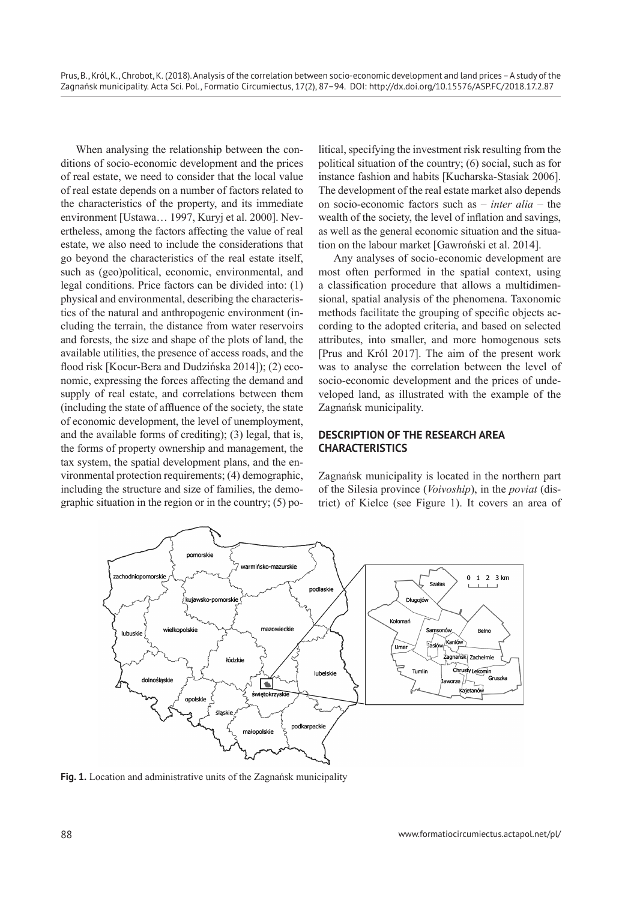When analysing the relationship between the conditions of socio-economic development and the prices of real estate, we need to consider that the local value of real estate depends on a number of factors related to the characteristics of the property, and its immediate environment [Ustawa… 1997, Kuryj et al. 2000]. Nevertheless, among the factors affecting the value of real estate, we also need to include the considerations that go beyond the characteristics of the real estate itself, such as (geo)political, economic, environmental, and legal conditions. Price factors can be divided into: (1) physical and environmental, describing the characteristics of the natural and anthropogenic environment (including the terrain, the distance from water reservoirs and forests, the size and shape of the plots of land, the available utilities, the presence of access roads, and the flood risk [Kocur-Bera and Dudzińska 2014]); (2) economic, expressing the forces affecting the demand and supply of real estate, and correlations between them (including the state of affluence of the society, the state of economic development, the level of unemployment, and the available forms of crediting); (3) legal, that is, the forms of property ownership and management, the tax system, the spatial development plans, and the environmental protection requirements; (4) demographic, including the structure and size of families, the demographic situation in the region or in the country; (5) political, specifying the investment risk resulting from the political situation of the country; (6) social, such as for instance fashion and habits [Kucharska-Stasiak 2006]. The development of the real estate market also depends on socio-economic factors such as – *inter alia* – the wealth of the society, the level of inflation and savings, as well as the general economic situation and the situation on the labour market [Gawroński et al. 2014].

Any analyses of socio-economic development are most often performed in the spatial context, using a classification procedure that allows a multidimensional, spatial analysis of the phenomena. Taxonomic methods facilitate the grouping of specific objects according to the adopted criteria, and based on selected attributes, into smaller, and more homogenous sets [Prus and Król 2017]. The aim of the present work was to analyse the correlation between the level of socio-economic development and the prices of undeveloped land, as illustrated with the example of the Zagnańsk municipality.

## **DESCRIPTION OF THE RESEARCH AREA CHARACTERISTICS**

Zagnańsk municipality is located in the northern part of the Silesia province (*Voivoship*), in the *poviat* (district) of Kielce (see Figure 1). It covers an area of



**Fig. 1.** Location and administrative units of the Zagnańsk municipality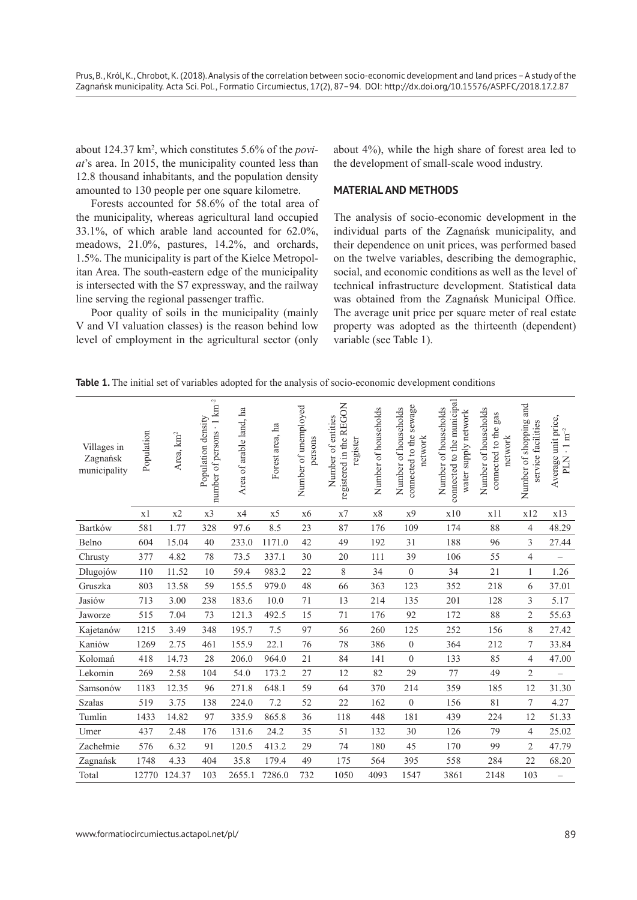about 124.37 km<sup>2</sup> , which constitutes 5.6% of the *poviat*'s area. In 2015, the municipality counted less than 12.8 thousand inhabitants, and the population density amounted to 130 people per one square kilometre.

Forests accounted for 58.6% of the total area of the municipality, whereas agricultural land occupied 33.1%, of which arable land accounted for 62.0%, meadows, 21.0%, pastures, 14.2%, and orchards, 1.5%. The municipality is part of the Kielce Metropolitan Area. The south-eastern edge of the municipality is intersected with the S7 expressway, and the railway line serving the regional passenger traffic.

Poor quality of soils in the municipality (mainly V and VI valuation classes) is the reason behind low level of employment in the agricultural sector (only about 4%), while the high share of forest area led to the development of small-scale wood industry.

### **MATERIAL AND METHODS**

The analysis of socio-economic development in the individual parts of the Zagnańsk municipality, and their dependence on unit prices, was performed based on the twelve variables, describing the demographic, social, and economic conditions as well as the level of technical infrastructure development. Statistical data was obtained from the Zagnańsk Municipal Office. The average unit price per square meter of real estate property was adopted as the thirteenth (dependent) variable (see Table 1).

**Table 1.** The initial set of variables adopted for the analysis of socio-economic development conditions

| Villages in<br>Zagnańsk<br>municipality | Population | Area, km <sup>2</sup> | number of persons · 1 km <sup>-2</sup><br>Population density | Area of arable land, ha | Forest area, ha | Number of unemployed<br>persons | registered in the REGON<br>Number of entities<br>register | Number of households | connected to the sewage<br>Number of households<br>network | connected to the municipal<br>Number of households<br>water supply network | Number of households<br>gas<br>connected to the<br>network | Number of shopping and<br>service facilities | Average unit price,<br>$\cdot$ 1 $\mathrm{m}^{-2}$<br>PLN |
|-----------------------------------------|------------|-----------------------|--------------------------------------------------------------|-------------------------|-----------------|---------------------------------|-----------------------------------------------------------|----------------------|------------------------------------------------------------|----------------------------------------------------------------------------|------------------------------------------------------------|----------------------------------------------|-----------------------------------------------------------|
|                                         | x1         | x2                    | x3                                                           | x4                      | x <sub>5</sub>  | x6                              | $\ge 7$                                                   | x8                   | x9                                                         | x10                                                                        | x11                                                        | x12                                          | x13                                                       |
| Bartków                                 | 581        | 1.77                  | 328                                                          | 97.6                    | 8.5             | 23                              | 87                                                        | 176                  | 109                                                        | 174                                                                        | 88                                                         | 4                                            | 48.29                                                     |
| Belno                                   | 604        | 15.04                 | 40                                                           | 233.0                   | 1171.0          | 42                              | 49                                                        | 192                  | 31                                                         | 188                                                                        | 96                                                         | 3                                            | 27.44                                                     |
| Chrusty                                 | 377        | 4.82                  | 78                                                           | 73.5                    | 337.1           | 30                              | 20                                                        | 111                  | 39                                                         | 106                                                                        | 55                                                         | $\overline{4}$                               | $\overline{\phantom{0}}$                                  |
| Długojów                                | 110        | 11.52                 | 10                                                           | 59.4                    | 983.2           | 22                              | $8\,$                                                     | 34                   | $\boldsymbol{0}$                                           | 34                                                                         | 21                                                         | $\mathbf{1}$                                 | 1.26                                                      |
| Gruszka                                 | 803        | 13.58                 | 59                                                           | 155.5                   | 979.0           | 48                              | 66                                                        | 363                  | 123                                                        | 352                                                                        | 218                                                        | 6                                            | 37.01                                                     |
| Jasiów                                  | 713        | 3.00                  | 238                                                          | 183.6                   | 10.0            | $71\,$                          | 13                                                        | 214                  | 135                                                        | 201                                                                        | 128                                                        | 3                                            | 5.17                                                      |
| Jaworze                                 | 515        | 7.04                  | 73                                                           | 121.3                   | 492.5           | 15                              | 71                                                        | 176                  | 92                                                         | 172                                                                        | 88                                                         | 2                                            | 55.63                                                     |
| Kajetanów                               | 1215       | 3.49                  | 348                                                          | 195.7                   | 7.5             | 97                              | 56                                                        | 260                  | 125                                                        | 252                                                                        | 156                                                        | 8                                            | 27.42                                                     |
| Kaniów                                  | 1269       | 2.75                  | 461                                                          | 155.9                   | 22.1            | 76                              | 78                                                        | 386                  | $\boldsymbol{0}$                                           | 364                                                                        | 212                                                        | $\boldsymbol{7}$                             | 33.84                                                     |
| Kołomań                                 | 418        | 14.73                 | 28                                                           | 206.0                   | 964.0           | 21                              | 84                                                        | 141                  | $\boldsymbol{0}$                                           | 133                                                                        | 85                                                         | 4                                            | 47.00                                                     |
| Lekomin                                 | 269        | 2.58                  | 104                                                          | 54.0                    | 173.2           | 27                              | 12                                                        | 82                   | 29                                                         | 77                                                                         | 49                                                         | $\overline{c}$                               | $\overline{\phantom{0}}$                                  |
| Samsonów                                | 1183       | 12.35                 | 96                                                           | 271.8                   | 648.1           | 59                              | 64                                                        | 370                  | 214                                                        | 359                                                                        | 185                                                        | 12                                           | 31.30                                                     |
| Szałas                                  | 519        | 3.75                  | 138                                                          | 224.0                   | 7.2             | 52                              | 22                                                        | 162                  | $\boldsymbol{0}$                                           | 156                                                                        | 81                                                         | 7                                            | 4.27                                                      |
| Tumlin                                  | 1433       | 14.82                 | 97                                                           | 335.9                   | 865.8           | 36                              | 118                                                       | 448                  | 181                                                        | 439                                                                        | 224                                                        | 12                                           | 51.33                                                     |
| Umer                                    | 437        | 2.48                  | 176                                                          | 131.6                   | 24.2            | 35                              | 51                                                        | 132                  | 30                                                         | 126                                                                        | 79                                                         | $\overline{\mathcal{L}}$                     | 25.02                                                     |
| Zachełmie                               | 576        | 6.32                  | 91                                                           | 120.5                   | 413.2           | 29                              | 74                                                        | 180                  | 45                                                         | 170                                                                        | 99                                                         | $\overline{2}$                               | 47.79                                                     |
| Zagnańsk                                | 1748       | 4.33                  | 404                                                          | 35.8                    | 179.4           | 49                              | 175                                                       | 564                  | 395                                                        | 558                                                                        | 284                                                        | 22                                           | 68.20                                                     |
| Total                                   | 12770      | 124.37                | 103                                                          | 2655.1                  | 7286.0          | 732                             | 1050                                                      | 4093                 | 1547                                                       | 3861                                                                       | 2148                                                       | 103                                          | $\overline{\phantom{0}}$                                  |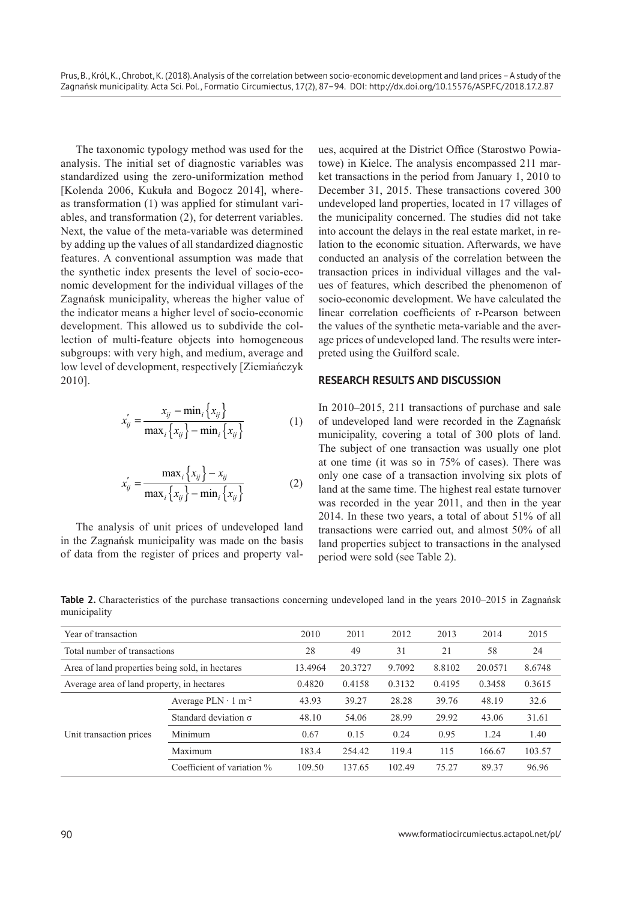The taxonomic typology method was used for the analysis. The initial set of diagnostic variables was standardized using the zero-uniformization method [Kolenda 2006, Kukuła and Bogocz 2014], whereas transformation (1) was applied for stimulant variables, and transformation (2), for deterrent variables. Next, the value of the meta-variable was determined by adding up the values of all standardized diagnostic features. A conventional assumption was made that the synthetic index presents the level of socio-economic development for the individual villages of the Zagnańsk municipality, whereas the higher value of the indicator means a higher level of socio-economic development. This allowed us to subdivide the collection of multi-feature objects into homogeneous subgroups: with very high, and medium, average and low level of development, respectively [Ziemiańczyk 2010].

$$
x'_{ij} = \frac{x_{ij} - \min_i \{x_{ij}\}}{\max_i \{x_{ij}\} - \min_i \{x_{ij}\}}
$$
(1)

$$
x'_{ij} = \frac{\max_i \{x_{ij}\} - x_{ij}}{\max_i \{x_{ij}\} - \min_i \{x_{ij}\}}
$$
(2)

The analysis of unit prices of undeveloped land in the Zagnańsk municipality was made on the basis of data from the register of prices and property val-

ues, acquired at the District Office (Starostwo Powiatowe) in Kielce. The analysis encompassed 211 market transactions in the period from January 1, 2010 to December 31, 2015. These transactions covered 300 undeveloped land properties, located in 17 villages of the municipality concerned. The studies did not take into account the delays in the real estate market, in relation to the economic situation. Afterwards, we have conducted an analysis of the correlation between the transaction prices in individual villages and the values of features, which described the phenomenon of socio-economic development. We have calculated the linear correlation coefficients of r-Pearson between the values of the synthetic meta-variable and the average prices of undeveloped land. The results were interpreted using the Guilford scale.

#### **RESEARCH RESULTS AND DISCUSSION**

In 2010–2015, 211 transactions of purchase and sale of undeveloped land were recorded in the Zagnańsk municipality, covering a total of 300 plots of land. The subject of one transaction was usually one plot at one time (it was so in 75% of cases). There was only one case of a transaction involving six plots of land at the same time. The highest real estate turnover was recorded in the year 2011, and then in the year 2014. In these two years, a total of about 51% of all transactions were carried out, and almost 50% of all land properties subject to transactions in the analysed period were sold (see Table 2).

**Table 2.** Characteristics of the purchase transactions concerning undeveloped land in the years 2010–2015 in Zagnańsk municipality

| Year of transaction                             |                              | 2010    | 2011   | 2012   | 2013    | 2014   | 2015   |
|-------------------------------------------------|------------------------------|---------|--------|--------|---------|--------|--------|
| Total number of transactions                    |                              | 28      | 49     | 31     | 21      | 58     | 24     |
| Area of land properties being sold, in hectares | 13.4964                      | 20.3727 | 9.7092 | 8.8102 | 20.0571 | 8.6748 |        |
| Average area of land property, in hectares      | 0.4820                       | 0.4158  | 0.3132 | 0.4195 | 0.3458  | 0.3615 |        |
|                                                 | Average $PLN \cdot 1 m^{-2}$ | 43.93   | 39.27  | 28.28  | 39.76   | 48.19  | 32.6   |
|                                                 | Standard deviation $\sigma$  | 48.10   | 54.06  | 28.99  | 29.92   | 43.06  | 31.61  |
| Unit transaction prices                         | Minimum                      | 0.67    | 0.15   | 0.24   | 0.95    | 1.24   | 1.40   |
|                                                 | Maximum                      | 183.4   | 254.42 | 119.4  | 115     | 166.67 | 103.57 |
|                                                 | Coefficient of variation %   | 109.50  | 137.65 | 102.49 | 75.27   | 89.37  | 96.96  |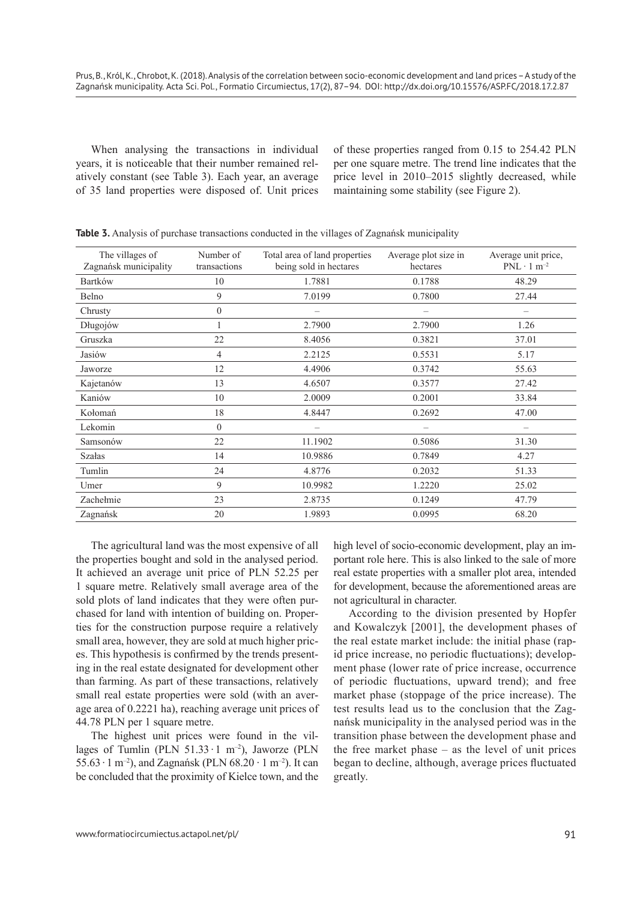When analysing the transactions in individual years, it is noticeable that their number remained relatively constant (see Table 3). Each year, an average of 35 land properties were disposed of. Unit prices of these properties ranged from 0.15 to 254.42 PLN per one square metre. The trend line indicates that the price level in 2010–2015 slightly decreased, while maintaining some stability (see Figure 2).

| The villages of<br>Zagnańsk municipality | Number of<br>transactions | Total area of land properties<br>being sold in hectares | Average plot size in<br>hectares | Average unit price,<br>$PNL \cdot 1 m^{-2}$ |
|------------------------------------------|---------------------------|---------------------------------------------------------|----------------------------------|---------------------------------------------|
| Bartków                                  | 10                        | 1.7881                                                  | 0.1788                           | 48.29                                       |
| Belno                                    | 9                         | 7.0199                                                  | 0.7800                           | 27.44                                       |
| Chrusty                                  | $\theta$                  |                                                         |                                  |                                             |
| Długojów                                 |                           | 2.7900                                                  | 2.7900                           | 1.26                                        |
| Gruszka                                  | 22                        | 8.4056                                                  | 0.3821                           | 37.01                                       |
| Jasiów                                   | 4                         | 2.2125                                                  | 0.5531                           | 5.17                                        |
| Jaworze                                  | 12                        | 4.4906                                                  | 0.3742                           | 55.63                                       |
| Kajetanów                                | 13                        | 4.6507                                                  | 0.3577                           | 27.42                                       |
| Kaniów                                   | 10                        | 2.0009                                                  | 0.2001                           | 33.84                                       |
| Kołomań                                  | 18                        | 4.8447                                                  | 0.2692                           | 47.00                                       |
| Lekomin                                  | $\Omega$                  |                                                         |                                  |                                             |
| Samsonów                                 | 22                        | 11.1902                                                 | 0.5086                           | 31.30                                       |
| <b>Szałas</b>                            | 14                        | 10.9886                                                 | 0.7849                           | 4.27                                        |
| Tumlin                                   | 24                        | 4.8776                                                  | 0.2032                           | 51.33                                       |
| Umer                                     | 9                         | 10.9982                                                 | 1.2220                           | 25.02                                       |
| Zachełmie                                | 23                        | 2.8735                                                  | 0.1249                           | 47.79                                       |
| Zagnańsk                                 | 20                        | 1.9893                                                  | 0.0995                           | 68.20                                       |

**Table 3.** Analysis of purchase transactions conducted in the villages of Zagnańsk municipality

The agricultural land was the most expensive of all the properties bought and sold in the analysed period. It achieved an average unit price of PLN 52.25 per 1 square metre. Relatively small average area of the sold plots of land indicates that they were often purchased for land with intention of building on. Properties for the construction purpose require a relatively small area, however, they are sold at much higher prices. This hypothesis is confirmed by the trends presenting in the real estate designated for development other than farming. As part of these transactions, relatively small real estate properties were sold (with an average area of 0.2221 ha), reaching average unit prices of 44.78 PLN per 1 square metre.

The highest unit prices were found in the villages of Tumlin (PLN  $51.33 \cdot 1 \text{ m}^{-2}$ ), Jaworze (PLN 55.63  $\cdot$  1 m<sup>-2</sup>), and Zagnańsk (PLN 68.20  $\cdot$  1 m<sup>-2</sup>). It can be concluded that the proximity of Kielce town, and the high level of socio-economic development, play an important role here. This is also linked to the sale of more real estate properties with a smaller plot area, intended for development, because the aforementioned areas are not agricultural in character.

According to the division presented by Hopfer and Kowalczyk [2001], the development phases of the real estate market include: the initial phase (rapid price increase, no periodic fluctuations); development phase (lower rate of price increase, occurrence of periodic fluctuations, upward trend); and free market phase (stoppage of the price increase). The test results lead us to the conclusion that the Zagnańsk municipality in the analysed period was in the transition phase between the development phase and the free market phase – as the level of unit prices began to decline, although, average prices fluctuated greatly.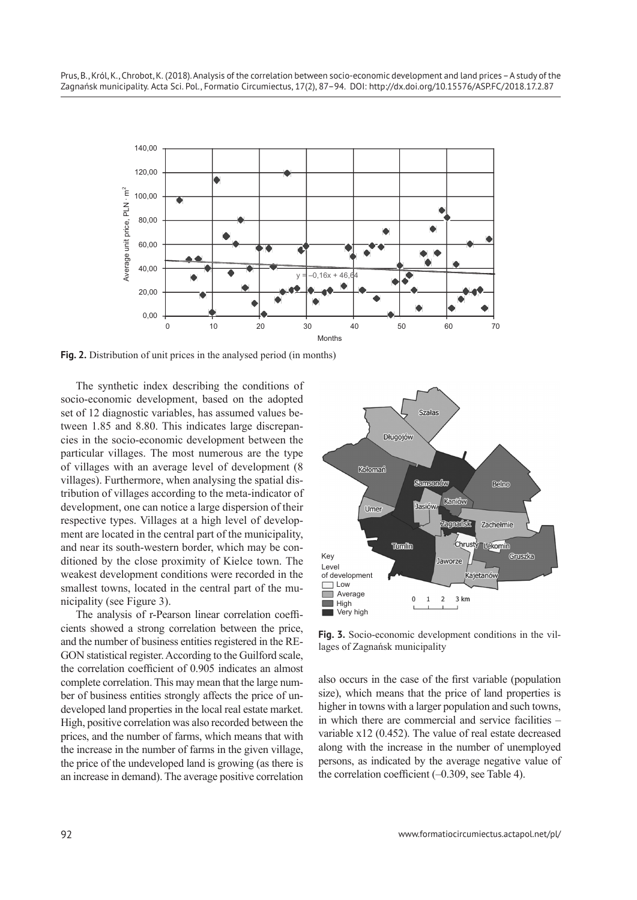

**Fig. 2.** Distribution of unit prices in the analysed period (in months)

The synthetic index describing the conditions of socio-economic development, based on the adopted set of 12 diagnostic variables, has assumed values between 1.85 and 8.80. This indicates large discrepancies in the socio-economic development between the particular villages. The most numerous are the type of villages with an average level of development (8 villages). Furthermore, when analysing the spatial distribution of villages according to the meta-indicator of development, one can notice a large dispersion of their respective types. Villages at a high level of development are located in the central part of the municipality, and near its south-western border, which may be conditioned by the close proximity of Kielce town. The weakest development conditions were recorded in the smallest towns, located in the central part of the municipality (see Figure 3).

The analysis of r-Pearson linear correlation coefficients showed a strong correlation between the price, and the number of business entities registered in the RE-GON statistical register. According to the Guilford scale, the correlation coefficient of 0.905 indicates an almost complete correlation. This may mean that the large number of business entities strongly affects the price of undeveloped land properties in the local real estate market. High, positive correlation was also recorded between the prices, and the number of farms, which means that with the increase in the number of farms in the given village, the price of the undeveloped land is growing (as there is an increase in demand). The average positive correlation



**Fig. 3.** Socio-economic development conditions in the villages of Zagnańsk municipality

also occurs in the case of the first variable (population size), which means that the price of land properties is higher in towns with a larger population and such towns, in which there are commercial and service facilities – variable x12 (0.452). The value of real estate decreased along with the increase in the number of unemployed persons, as indicated by the average negative value of the correlation coefficient  $(-0.309)$ , see Table 4).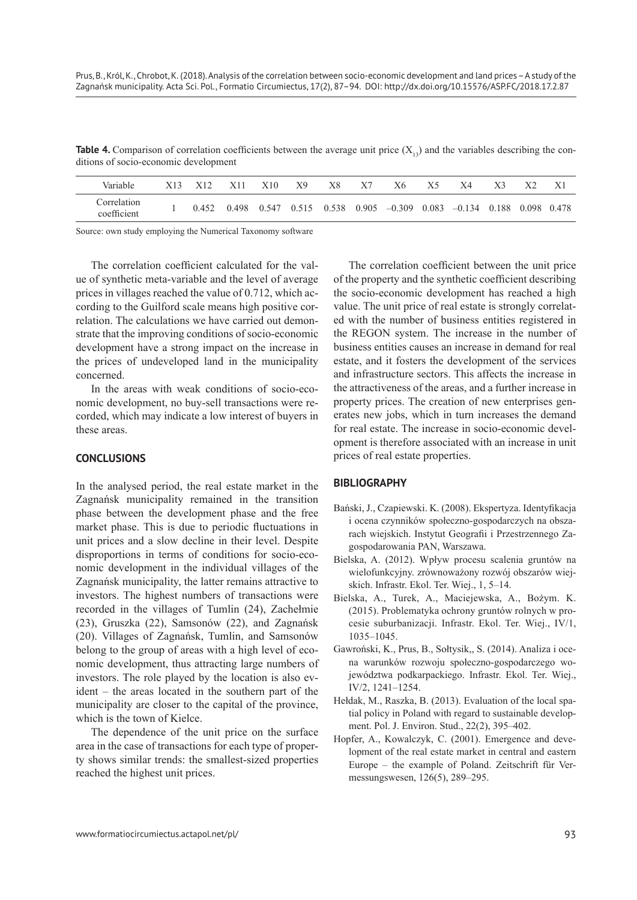**Table 4.** Comparison of correlation coefficients between the average unit price  $(X_n)$  and the variables describing the conditions of socio-economic development

| Variable                   | X13 X12 | - X11 | X10 | X9 | X8 | X7 | Х6                                                                                | X5 | X4 | X3 | X2 |  |
|----------------------------|---------|-------|-----|----|----|----|-----------------------------------------------------------------------------------|----|----|----|----|--|
| Correlation<br>coefficient | 0.452   | 0.498 |     |    |    |    | $0.547$ $0.515$ $0.538$ $0.905$ $-0.309$ $0.083$ $-0.134$ $0.188$ $0.098$ $0.478$ |    |    |    |    |  |

Source: own study employing the Numerical Taxonomy software

The correlation coefficient calculated for the value of synthetic meta-variable and the level of average prices in villages reached the value of 0.712, which according to the Guilford scale means high positive correlation. The calculations we have carried out demonstrate that the improving conditions of socio-economic development have a strong impact on the increase in the prices of undeveloped land in the municipality concerned.

In the areas with weak conditions of socio-economic development, no buy-sell transactions were recorded, which may indicate a low interest of buyers in these areas.

#### **CONCLUSIONS**

In the analysed period, the real estate market in the Zagnańsk municipality remained in the transition phase between the development phase and the free market phase. This is due to periodic fluctuations in unit prices and a slow decline in their level. Despite disproportions in terms of conditions for socio-economic development in the individual villages of the Zagnańsk municipality, the latter remains attractive to investors. The highest numbers of transactions were recorded in the villages of Tumlin (24), Zachełmie (23), Gruszka (22), Samsonów (22), and Zagnańsk (20). Villages of Zagnańsk, Tumlin, and Samsonów belong to the group of areas with a high level of economic development, thus attracting large numbers of investors. The role played by the location is also evident – the areas located in the southern part of the municipality are closer to the capital of the province, which is the town of Kielce.

The dependence of the unit price on the surface area in the case of transactions for each type of property shows similar trends: the smallest-sized properties reached the highest unit prices.

The correlation coefficient between the unit price of the property and the synthetic coefficient describing the socio-economic development has reached a high value. The unit price of real estate is strongly correlated with the number of business entities registered in the REGON system. The increase in the number of business entities causes an increase in demand for real estate, and it fosters the development of the services and infrastructure sectors. This affects the increase in the attractiveness of the areas, and a further increase in property prices. The creation of new enterprises generates new jobs, which in turn increases the demand for real estate. The increase in socio-economic development is therefore associated with an increase in unit prices of real estate properties.

#### **BIBLIOGRAPHY**

- Bański, J., Czapiewski. K. (2008). Ekspertyza. Identyfikacja i ocena czynników społeczno-gospodarczych na obszarach wiejskich. Instytut Geografii i Przestrzennego Zagospodarowania PAN, Warszawa.
- Bielska, A. (2012). Wpływ procesu scalenia gruntów na wielofunkcyjny. zrównoważony rozwój obszarów wiejskich. Infrastr. Ekol. Ter. Wiej., 1, 5–14.
- Bielska, A., Turek, A., Maciejewska, A., Bożym. K. (2015). Problematyka ochrony gruntów rolnych w procesie suburbanizacji. Infrastr. Ekol. Ter. Wiej., IV/1, 1035–1045.
- Gawroński, K., Prus, B., Sołtysik,, S. (2014). Analiza i ocena warunków rozwoju społeczno-gospodarczego województwa podkarpackiego. Infrastr. Ekol. Ter. Wiej., IV/2, 1241–1254.
- Hełdak, M., Raszka, B. (2013). Evaluation of the local spatial policy in Poland with regard to sustainable development. Pol. J. Environ. Stud., 22(2), 395–402.
- Hopfer, A., Kowalczyk, C. (2001). Emergence and development of the real estate market in central and eastern Europe – the example of Poland. Zeitschrift für Vermessungswesen, 126(5), 289–295.